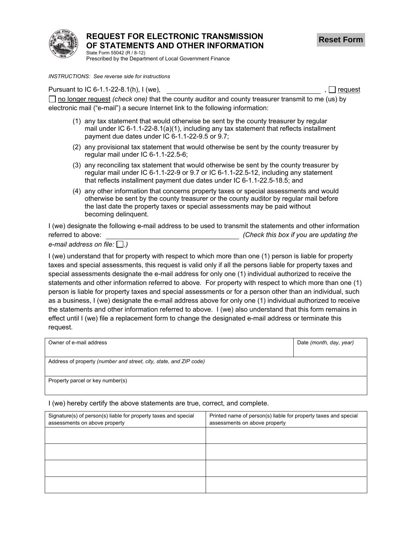

## **REQUEST FOR ELECTRONIC TRANSMISSION OF STATEMENTS AND OTHER INFORMATION**

State Form 55042 (R / 8-12) Prescribed by the Department of Local Government Finance

*INSTRUCTIONS: See reverse side for instructions* 

Pursuant to IC 6-1.1-22-8.1(h), I (we),  $\Box$  request

□ no longer request *(check one)* that the county auditor and county treasurer transmit to me (us) by electronic mail ("e-mail") a secure Internet link to the following information:

- (1) any tax statement that would otherwise be sent by the county treasurer by regular mail under IC 6-1.1-22-8.1(a)(1), including any tax statement that reflects installment payment due dates under IC 6-1.1-22-9.5 or 9.7;
- (2) any provisional tax statement that would otherwise be sent by the county treasurer by regular mail under IC 6-1.1-22.5-6;
- (3) any reconciling tax statement that would otherwise be sent by the county treasurer by regular mail under IC 6-1.1-22-9 or 9.7 or IC 6-1.1-22.5-12, including any statement that reflects installment payment due dates under IC 6-1.1-22.5-18.5; and
- (4) any other information that concerns property taxes or special assessments and would otherwise be sent by the county treasurer or the county auditor by regular mail before the last date the property taxes or special assessments may be paid without becoming delinquent.

I (we) designate the following e-mail address to be used to transmit the statements and other information referred to above: *(Check this box if you are updating the*

 $e$ -mail address on file:  $\Box$ .)

I (we) understand that for property with respect to which more than one (1) person is liable for property taxes and special assessments, this request is valid only if all the persons liable for property taxes and special assessments designate the e-mail address for only one (1) individual authorized to receive the statements and other information referred to above. For property with respect to which more than one (1) person is liable for property taxes and special assessments or for a person other than an individual, such as a business, I (we) designate the e-mail address above for only one (1) individual authorized to receive the statements and other information referred to above. I (we) also understand that this form remains in effect until I (we) file a replacement form to change the designated e-mail address or terminate this request.

| Owner of e-mail address                                            | Date (month, day, year) |
|--------------------------------------------------------------------|-------------------------|
|                                                                    |                         |
| Address of property (number and street, city, state, and ZIP code) |                         |
| Property parcel or key number(s)                                   |                         |

I (we) hereby certify the above statements are true, correct, and complete.

| Signature(s) of person(s) liable for property taxes and special<br>assessments on above property | Printed name of person(s) liable for property taxes and special<br>assessments on above property |
|--------------------------------------------------------------------------------------------------|--------------------------------------------------------------------------------------------------|
|                                                                                                  |                                                                                                  |
|                                                                                                  |                                                                                                  |
|                                                                                                  |                                                                                                  |
|                                                                                                  |                                                                                                  |